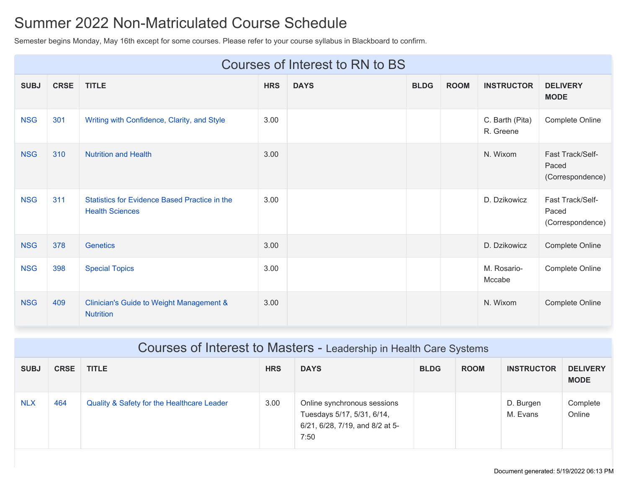## Summer 2022 Non-Matriculated Course Schedule

Semester begins Monday, May 16th except for some courses. Please refer to your course syllabus in Blackboard to confirm.

|             | Courses of Interest to RN to BS |                                                                         |            |             |             |             |                              |                                               |
|-------------|---------------------------------|-------------------------------------------------------------------------|------------|-------------|-------------|-------------|------------------------------|-----------------------------------------------|
| <b>SUBJ</b> | <b>CRSE</b>                     | <b>TITLE</b>                                                            | <b>HRS</b> | <b>DAYS</b> | <b>BLDG</b> | <b>ROOM</b> | <b>INSTRUCTOR</b>            | <b>DELIVERY</b><br><b>MODE</b>                |
| <b>NSG</b>  | 301                             | Writing with Confidence, Clarity, and Style                             | 3.00       |             |             |             | C. Barth (Pita)<br>R. Greene | Complete Online                               |
| <b>NSG</b>  | 310                             | <b>Nutrition and Health</b>                                             | 3.00       |             |             |             | N. Wixom                     | Fast Track/Self-<br>Paced<br>(Correspondence) |
| <b>NSG</b>  | 311                             | Statistics for Evidence Based Practice in the<br><b>Health Sciences</b> | 3.00       |             |             |             | D. Dzikowicz                 | Fast Track/Self-<br>Paced<br>(Correspondence) |
| <b>NSG</b>  | 378                             | <b>Genetics</b>                                                         | 3.00       |             |             |             | D. Dzikowicz                 | Complete Online                               |
| <b>NSG</b>  | 398                             | <b>Special Topics</b>                                                   | 3.00       |             |             |             | M. Rosario-<br>Mccabe        | Complete Online                               |
| <b>NSG</b>  | 409                             | <b>Clinician's Guide to Weight Management &amp;</b><br><b>Nutrition</b> | 3.00       |             |             |             | N. Wixom                     | Complete Online                               |

|             | Courses of Interest to Masters - Leadership in Health Care Systems |                                            |            |                                                                                                      |             |             |                       |                                |
|-------------|--------------------------------------------------------------------|--------------------------------------------|------------|------------------------------------------------------------------------------------------------------|-------------|-------------|-----------------------|--------------------------------|
| <b>SUBJ</b> | <b>CRSE</b>                                                        | <b>TITLE</b>                               | <b>HRS</b> | <b>DAYS</b>                                                                                          | <b>BLDG</b> | <b>ROOM</b> | <b>INSTRUCTOR</b>     | <b>DELIVERY</b><br><b>MODE</b> |
| <b>NLX</b>  | 464                                                                | Quality & Safety for the Healthcare Leader | 3.00       | Online synchronous sessions<br>Tuesdays 5/17, 5/31, 6/14,<br>6/21, 6/28, 7/19, and 8/2 at 5-<br>7:50 |             |             | D. Burgen<br>M. Evans | Complete<br>Online             |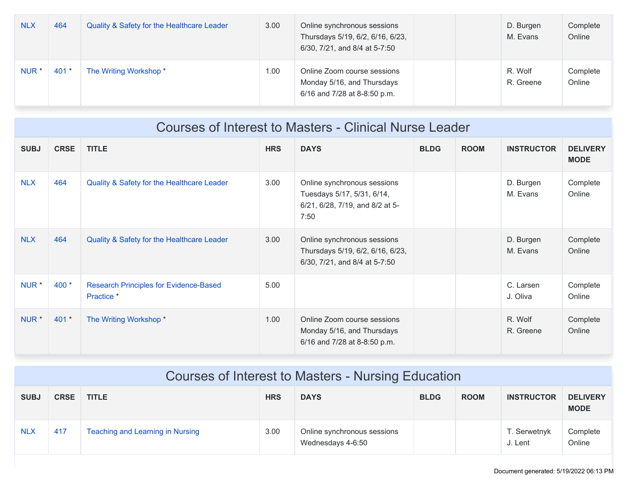| <b>NLX</b>       | 464     | Quality & Safety for the Healthcare Leader | 3.00 | Online synchronous sessions<br>Thursdays 5/19, 6/2, 6/16, 6/23,<br>6/30, 7/21, and 8/4 at 5-7:50 | D. Burgen<br>M. Evans | Complete<br>Online |
|------------------|---------|--------------------------------------------|------|--------------------------------------------------------------------------------------------------|-----------------------|--------------------|
| NUR <sup>1</sup> | $401 *$ | The Writing Workshop *                     | 1.00 | Online Zoom course sessions<br>Monday 5/16, and Thursdays<br>6/16 and 7/28 at 8-8:50 p.m.        | R. Wolf<br>R. Greene  | Complete<br>Online |

|                  | Courses of Interest to Masters - Clinical Nurse Leader |                                                             |            |                                                                                                      |             |             |                       |                                |
|------------------|--------------------------------------------------------|-------------------------------------------------------------|------------|------------------------------------------------------------------------------------------------------|-------------|-------------|-----------------------|--------------------------------|
| <b>SUBJ</b>      | <b>CRSE</b>                                            | <b>TITLE</b>                                                | <b>HRS</b> | <b>DAYS</b>                                                                                          | <b>BLDG</b> | <b>ROOM</b> | <b>INSTRUCTOR</b>     | <b>DELIVERY</b><br><b>MODE</b> |
| <b>NLX</b>       | 464                                                    | Quality & Safety for the Healthcare Leader                  | 3.00       | Online synchronous sessions<br>Tuesdays 5/17, 5/31, 6/14,<br>6/21, 6/28, 7/19, and 8/2 at 5-<br>7:50 |             |             | D. Burgen<br>M. Evans | Complete<br>Online             |
| <b>NLX</b>       | 464                                                    | Quality & Safety for the Healthcare Leader                  | 3.00       | Online synchronous sessions<br>Thursdays 5/19, 6/2, 6/16, 6/23,<br>6/30, 7/21, and 8/4 at 5-7:50     |             |             | D. Burgen<br>M. Evans | Complete<br>Online             |
| NUR <sup>*</sup> | $400 *$                                                | <b>Research Principles for Evidence-Based</b><br>Practice * | 5.00       |                                                                                                      |             |             | C. Larsen<br>J. Oliva | Complete<br>Online             |
| NUR *            | $401 *$                                                | The Writing Workshop *                                      | 1.00       | Online Zoom course sessions<br>Monday 5/16, and Thursdays<br>6/16 and 7/28 at 8-8:50 p.m.            |             |             | R. Wolf<br>R. Greene  | Complete<br>Online             |

|             | Courses of Interest to Masters - Nursing Education |                                  |            |                                                  |             |             |                         |                                |
|-------------|----------------------------------------------------|----------------------------------|------------|--------------------------------------------------|-------------|-------------|-------------------------|--------------------------------|
| <b>SUBJ</b> | <b>CRSE</b>                                        | <b>TITLE</b>                     | <b>HRS</b> | <b>DAYS</b>                                      | <b>BLDG</b> | <b>ROOM</b> | <b>INSTRUCTOR</b>       | <b>DELIVERY</b><br><b>MODE</b> |
| <b>NLX</b>  | 417                                                | Teaching and Learning in Nursing | 3.00       | Online synchronous sessions<br>Wednesdays 4-6:50 |             |             | T. Serwetnyk<br>J. Lent | Complete<br>Online             |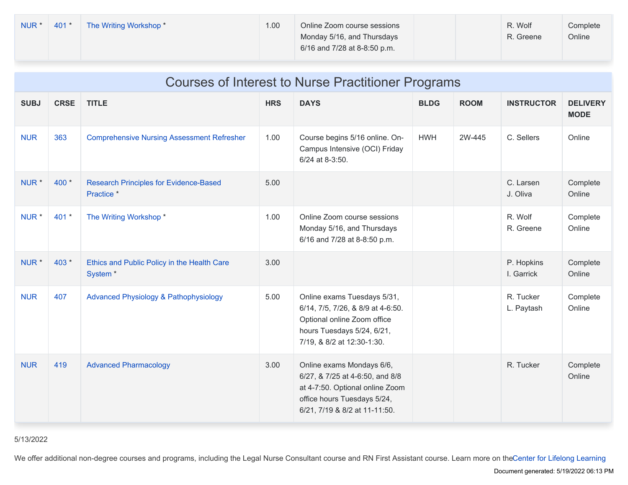| NUR <sup>1</sup> | $401*$ | The Writing Workshop * | 1.00 | Online Zoom course sessions<br>Monday 5/16, and Thursdays<br>6/16 and 7/28 at 8-8:50 p.m. |  | R. Wolf<br>R. Greene | Complete<br>Online |
|------------------|--------|------------------------|------|-------------------------------------------------------------------------------------------|--|----------------------|--------------------|
|------------------|--------|------------------------|------|-------------------------------------------------------------------------------------------|--|----------------------|--------------------|

|                  | <b>Courses of Interest to Nurse Practitioner Programs</b> |                                                                    |            |                                                                                                                                                                 |             |             |                          |                                |
|------------------|-----------------------------------------------------------|--------------------------------------------------------------------|------------|-----------------------------------------------------------------------------------------------------------------------------------------------------------------|-------------|-------------|--------------------------|--------------------------------|
| <b>SUBJ</b>      | <b>CRSE</b>                                               | <b>TITLE</b>                                                       | <b>HRS</b> | <b>DAYS</b>                                                                                                                                                     | <b>BLDG</b> | <b>ROOM</b> | <b>INSTRUCTOR</b>        | <b>DELIVERY</b><br><b>MODE</b> |
| <b>NUR</b>       | 363                                                       | <b>Comprehensive Nursing Assessment Refresher</b>                  | 1.00       | Course begins 5/16 online. On-<br>Campus Intensive (OCI) Friday<br>6/24 at 8-3:50.                                                                              | <b>HWH</b>  | 2W-445      | C. Sellers               | Online                         |
| NUR <sup>*</sup> | 400 *                                                     | <b>Research Principles for Evidence-Based</b><br>Practice *        | 5.00       |                                                                                                                                                                 |             |             | C. Larsen<br>J. Oliva    | Complete<br>Online             |
| NUR <sup>*</sup> | 401 *                                                     | The Writing Workshop*                                              | 1.00       | Online Zoom course sessions<br>Monday 5/16, and Thursdays<br>6/16 and 7/28 at 8-8:50 p.m.                                                                       |             |             | R. Wolf<br>R. Greene     | Complete<br>Online             |
| NUR <sup>*</sup> | 403 *                                                     | Ethics and Public Policy in the Health Care<br>System <sup>*</sup> | 3.00       |                                                                                                                                                                 |             |             | P. Hopkins<br>I. Garrick | Complete<br>Online             |
| <b>NUR</b>       | 407                                                       | <b>Advanced Physiology &amp; Pathophysiology</b>                   | 5.00       | Online exams Tuesdays 5/31,<br>6/14, 7/5, 7/26, & 8/9 at 4-6:50.<br>Optional online Zoom office<br>hours Tuesdays 5/24, 6/21,<br>7/19, & 8/2 at 12:30-1:30.     |             |             | R. Tucker<br>L. Paytash  | Complete<br>Online             |
| <b>NUR</b>       | 419                                                       | <b>Advanced Pharmacology</b>                                       | 3.00       | Online exams Mondays 6/6,<br>6/27, & 7/25 at 4-6:50, and 8/8<br>at 4-7:50. Optional online Zoom<br>office hours Tuesdays 5/24,<br>6/21, 7/19 & 8/2 at 11-11:50. |             |             | R. Tucker                | Complete<br>Online             |

## 5/13/2022

We offer additional [non-degree](https://son.rochester.edu/academics/continuing-education/index.html) courses and programs, including the Legal Nurse Consultant course and RN First Assistant course. Learn more on theCenter for Lifelong Learning